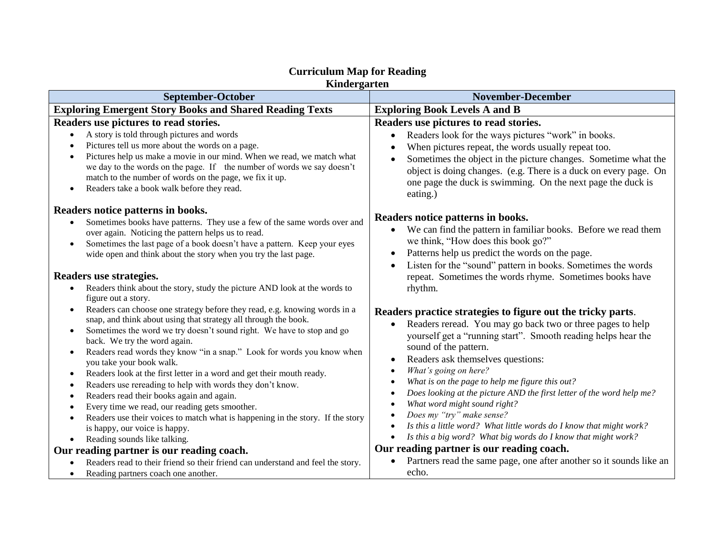| Kindergarten                                                                                                                                                                                                                                                                                                                                                                                                                                                                                                                                                                                                                                                                                                                                                                                                                                                                   |                                                                                                                                                                                                                                                                                                                                                                                                                                                                                                                                                                                                                                                                                                                     |  |
|--------------------------------------------------------------------------------------------------------------------------------------------------------------------------------------------------------------------------------------------------------------------------------------------------------------------------------------------------------------------------------------------------------------------------------------------------------------------------------------------------------------------------------------------------------------------------------------------------------------------------------------------------------------------------------------------------------------------------------------------------------------------------------------------------------------------------------------------------------------------------------|---------------------------------------------------------------------------------------------------------------------------------------------------------------------------------------------------------------------------------------------------------------------------------------------------------------------------------------------------------------------------------------------------------------------------------------------------------------------------------------------------------------------------------------------------------------------------------------------------------------------------------------------------------------------------------------------------------------------|--|
| September-October                                                                                                                                                                                                                                                                                                                                                                                                                                                                                                                                                                                                                                                                                                                                                                                                                                                              | <b>November-December</b>                                                                                                                                                                                                                                                                                                                                                                                                                                                                                                                                                                                                                                                                                            |  |
| <b>Exploring Emergent Story Books and Shared Reading Texts</b>                                                                                                                                                                                                                                                                                                                                                                                                                                                                                                                                                                                                                                                                                                                                                                                                                 | <b>Exploring Book Levels A and B</b>                                                                                                                                                                                                                                                                                                                                                                                                                                                                                                                                                                                                                                                                                |  |
| Readers use pictures to read stories.<br>A story is told through pictures and words<br>Pictures tell us more about the words on a page.<br>Pictures help us make a movie in our mind. When we read, we match what<br>$\bullet$<br>we day to the words on the page. If the number of words we say doesn't<br>match to the number of words on the page, we fix it up.<br>Readers take a book walk before they read.<br>$\bullet$                                                                                                                                                                                                                                                                                                                                                                                                                                                 | Readers use pictures to read stories.<br>Readers look for the ways pictures "work" in books.<br>$\bullet$<br>When pictures repeat, the words usually repeat too.<br>Sometimes the object in the picture changes. Sometime what the<br>object is doing changes. (e.g. There is a duck on every page. On<br>one page the duck is swimming. On the next page the duck is<br>eating.)                                                                                                                                                                                                                                                                                                                                   |  |
| Readers notice patterns in books.<br>Sometimes books have patterns. They use a few of the same words over and<br>over again. Noticing the pattern helps us to read.<br>Sometimes the last page of a book doesn't have a pattern. Keep your eyes<br>$\bullet$<br>wide open and think about the story when you try the last page.<br>Readers use strategies.<br>Readers think about the story, study the picture AND look at the words to<br>figure out a story.                                                                                                                                                                                                                                                                                                                                                                                                                 | Readers notice patterns in books.<br>We can find the pattern in familiar books. Before we read them<br>$\bullet$<br>we think, "How does this book go?"<br>Patterns help us predict the words on the page.<br>Listen for the "sound" pattern in books. Sometimes the words<br>repeat. Sometimes the words rhyme. Sometimes books have<br>rhythm.                                                                                                                                                                                                                                                                                                                                                                     |  |
| Readers can choose one strategy before they read, e.g. knowing words in a<br>snap, and think about using that strategy all through the book.<br>Sometimes the word we try doesn't sound right. We have to stop and go<br>$\bullet$<br>back. We try the word again.<br>Readers read words they know "in a snap." Look for words you know when<br>$\bullet$<br>you take your book walk.<br>Readers look at the first letter in a word and get their mouth ready.<br>$\bullet$<br>Readers use rereading to help with words they don't know.<br>$\bullet$<br>Readers read their books again and again.<br>$\bullet$<br>Every time we read, our reading gets smoother.<br>Readers use their voices to match what is happening in the story. If the story<br>$\bullet$<br>is happy, our voice is happy.<br>Reading sounds like talking.<br>Our reading partner is our reading coach. | Readers practice strategies to figure out the tricky parts.<br>Readers reread. You may go back two or three pages to help<br>yourself get a "running start". Smooth reading helps hear the<br>sound of the pattern.<br>Readers ask themselves questions:<br>$\bullet$<br>What's going on here?<br>$\bullet$<br>What is on the page to help me figure this out?<br>$\bullet$<br>Does looking at the picture AND the first letter of the word help me?<br>$\bullet$<br>What word might sound right?<br>Does my "try" make sense?<br>Is this a little word? What little words do I know that might work?<br>Is this a big word? What big words do I know that might work?<br>Our reading partner is our reading coach. |  |
| Readers read to their friend so their friend can understand and feel the story.<br>Reading partners coach one another.<br>$\bullet$                                                                                                                                                                                                                                                                                                                                                                                                                                                                                                                                                                                                                                                                                                                                            | Partners read the same page, one after another so it sounds like an<br>echo.                                                                                                                                                                                                                                                                                                                                                                                                                                                                                                                                                                                                                                        |  |

## **Curriculum Map for Reading**